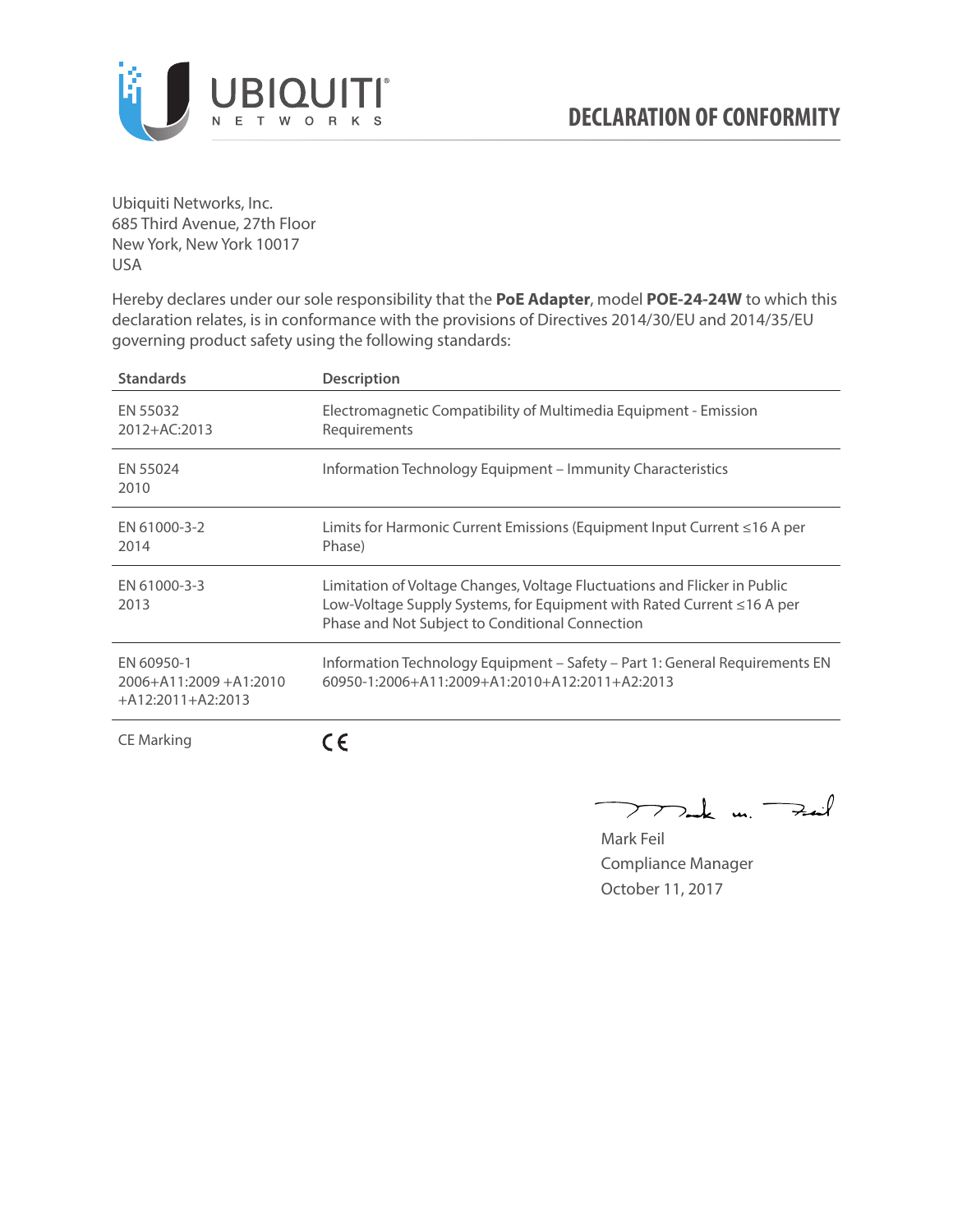

Ubiquiti Networks, Inc. 685 Third Avenue, 27th Floor New York, New York 10017 USA

Hereby declares under our sole responsibility that the **PoE Adapter**, model **POE-24-24W** to which this declaration relates, is in conformance with the provisions of Directives 2014/30/EU and 2014/35/EU governing product safety using the following standards:

| <b>Standards</b>                                                 | <b>Description</b>                                                                                                                                                                                     |
|------------------------------------------------------------------|--------------------------------------------------------------------------------------------------------------------------------------------------------------------------------------------------------|
| EN 55032<br>2012+AC:2013                                         | Electromagnetic Compatibility of Multimedia Equipment - Emission<br>Requirements                                                                                                                       |
| EN 55024<br>2010                                                 | Information Technology Equipment – Immunity Characteristics                                                                                                                                            |
| EN 61000-3-2<br>2014                                             | Limits for Harmonic Current Emissions (Equipment Input Current ≤16 A per<br>Phase)                                                                                                                     |
| EN 61000-3-3<br>2013                                             | Limitation of Voltage Changes, Voltage Fluctuations and Flicker in Public<br>Low-Voltage Supply Systems, for Equipment with Rated Current ≤16 A per<br>Phase and Not Subject to Conditional Connection |
| EN 60950-1<br>$2006 + A11:2009 + A1:2010$<br>$+A12:2011+A2:2013$ | Information Technology Equipment – Safety – Part 1: General Requirements EN<br>$60950 - 1:2006 + A11:2009 + A1:2010 + A12:2011 + A2:2013$                                                              |
| <b>CE Marking</b>                                                |                                                                                                                                                                                                        |

Dak m. Fail  $\overline{\phantom{1}}$ 

Mark Feil Compliance Manager October 11, 2017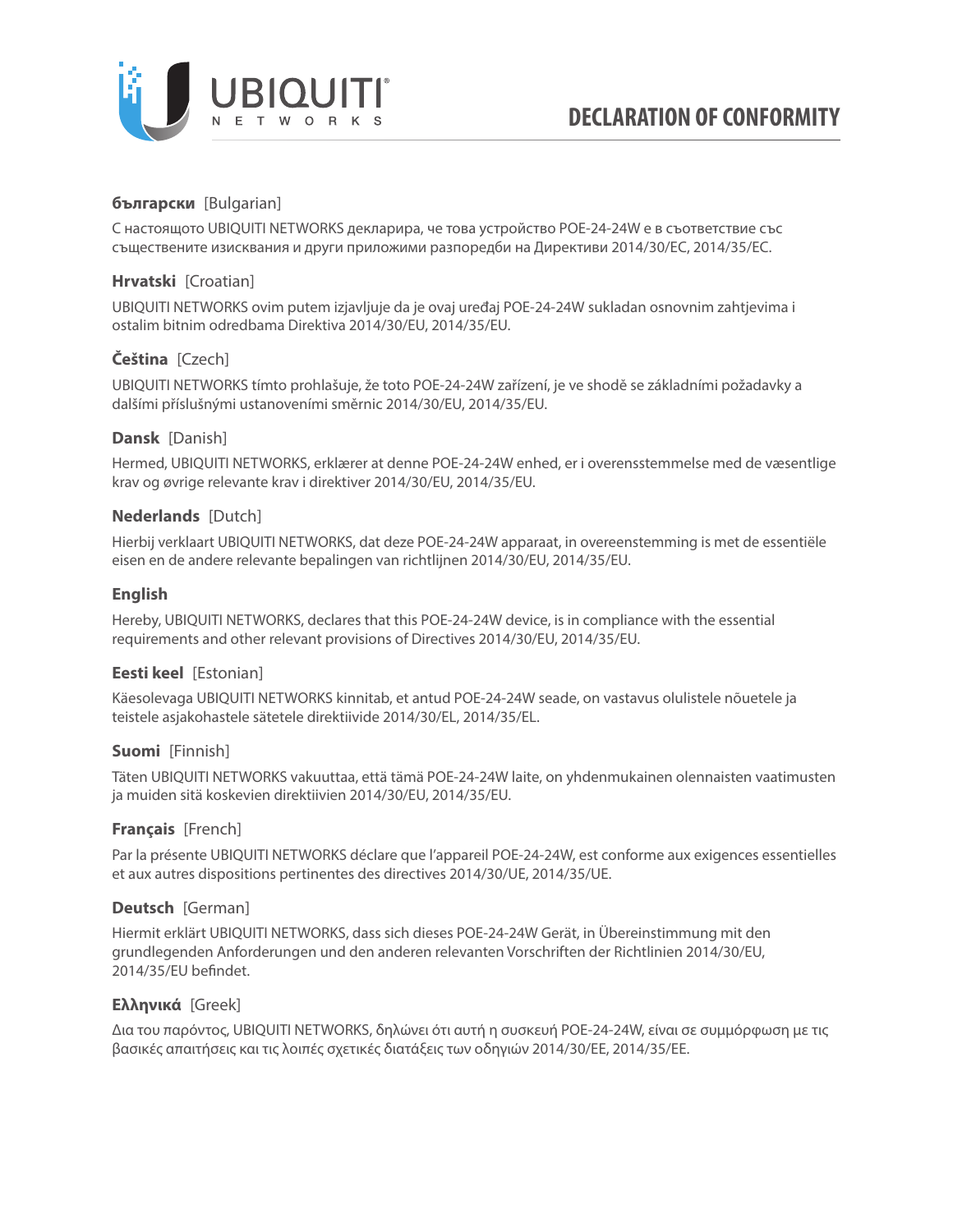

# **български** [Bulgarian]

С настоящото UBIQUITI NETWORKS декларира, че това устройство POE-24-24W е в съответствие със съществените изисквания и други приложими разпоредби на Директиви 2014/30/ЕС, 2014/35/ЕС.

## **Hrvatski** [Croatian]

UBIQUITI NETWORKS ovim putem izjavljuje da je ovaj uređaj POE-24-24W sukladan osnovnim zahtjevima i ostalim bitnim odredbama Direktiva 2014/30/EU, 2014/35/EU.

# **Čeština** [Czech]

UBIQUITI NETWORKS tímto prohlašuje, že toto POE-24-24W zařízení, je ve shodě se základními požadavky a dalšími příslušnými ustanoveními směrnic 2014/30/EU, 2014/35/EU.

## **Dansk** [Danish]

Hermed, UBIQUITI NETWORKS, erklærer at denne POE-24-24W enhed, er i overensstemmelse med de væsentlige krav og øvrige relevante krav i direktiver 2014/30/EU, 2014/35/EU.

## **Nederlands** [Dutch]

Hierbij verklaart UBIQUITI NETWORKS, dat deze POE-24-24W apparaat, in overeenstemming is met de essentiële eisen en de andere relevante bepalingen van richtlijnen 2014/30/EU, 2014/35/EU.

## **English**

Hereby, UBIQUITI NETWORKS, declares that this POE-24-24W device, is in compliance with the essential requirements and other relevant provisions of Directives 2014/30/EU, 2014/35/EU.

## **Eesti keel** [Estonian]

Käesolevaga UBIQUITI NETWORKS kinnitab, et antud POE-24-24W seade, on vastavus olulistele nõuetele ja teistele asjakohastele sätetele direktiivide 2014/30/EL, 2014/35/EL.

### **Suomi** [Finnish]

Täten UBIQUITI NETWORKS vakuuttaa, että tämä POE-24-24W laite, on yhdenmukainen olennaisten vaatimusten ja muiden sitä koskevien direktiivien 2014/30/EU, 2014/35/EU.

## **Français** [French]

Par la présente UBIQUITI NETWORKS déclare que l'appareil POE-24-24W, est conforme aux exigences essentielles et aux autres dispositions pertinentes des directives 2014/30/UE, 2014/35/UE.

### **Deutsch** [German]

Hiermit erklärt UBIQUITI NETWORKS, dass sich dieses POE-24-24W Gerät, in Übereinstimmung mit den grundlegenden Anforderungen und den anderen relevanten Vorschriften der Richtlinien 2014/30/EU, 2014/35/EU befindet.

### **Ελληνικά** [Greek]

Δια του παρόντος, UBIQUITI NETWORKS, δηλώνει ότι αυτή η συσκευή POE-24-24W, είναι σε συμμόρφωση με τις βασικές απαιτήσεις και τις λοιπές σχετικές διατάξεις των οδηγιών 2014/30/EE, 2014/35/EE.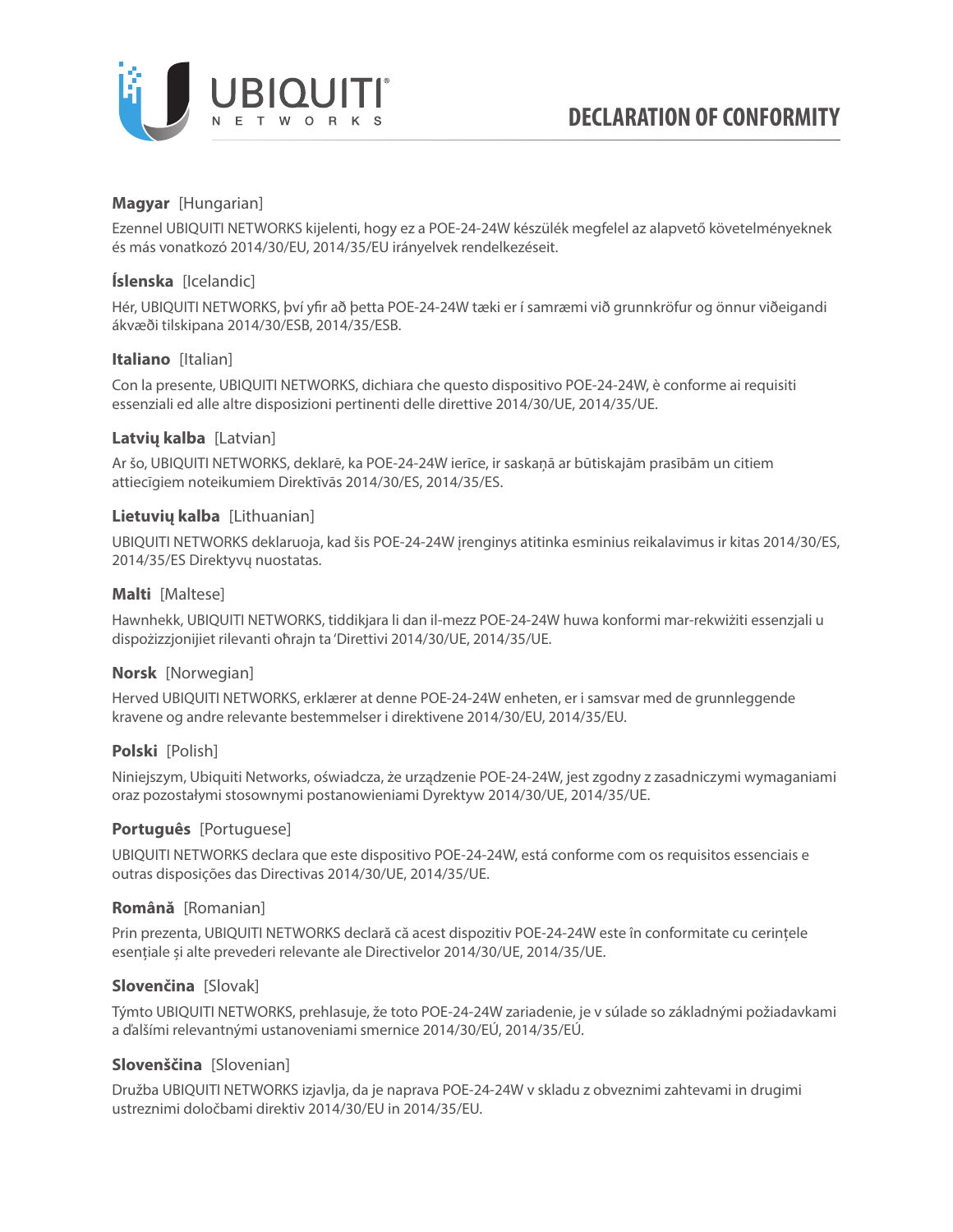

## **Magyar** [Hungarian]

Ezennel UBIQUITI NETWORKS kijelenti, hogy ez a POE-24-24W készülék megfelel az alapvető követelményeknek és más vonatkozó 2014/30/EU, 2014/35/EU irányelvek rendelkezéseit.

## **Íslenska** [Icelandic]

Hér, UBIQUITI NETWORKS, því yfir að þetta POE-24-24W tæki er í samræmi við grunnkröfur og önnur viðeigandi ákvæði tilskipana 2014/30/ESB, 2014/35/ESB.

## **Italiano** [Italian]

Con la presente, UBIQUITI NETWORKS, dichiara che questo dispositivo POE-24-24W, è conforme ai requisiti essenziali ed alle altre disposizioni pertinenti delle direttive 2014/30/UE, 2014/35/UE.

## **Latvių kalba** [Latvian]

Ar šo, UBIQUITI NETWORKS, deklarē, ka POE-24-24W ierīce, ir saskaņā ar būtiskajām prasībām un citiem attiecīgiem noteikumiem Direktīvās 2014/30/ES, 2014/35/ES.

## **Lietuvių kalba** [Lithuanian]

UBIQUITI NETWORKS deklaruoja, kad šis POE-24-24W įrenginys atitinka esminius reikalavimus ir kitas 2014/30/ES, 2014/35/ES Direktyvų nuostatas.

## **Malti** [Maltese]

Hawnhekk, UBIQUITI NETWORKS, tiddikjara li dan il-mezz POE-24-24W huwa konformi mar-rekwiżiti essenzjali u dispożizzjonijiet rilevanti oħrajn ta 'Direttivi 2014/30/UE, 2014/35/UE.

### **Norsk** [Norwegian]

Herved UBIQUITI NETWORKS, erklærer at denne POE-24-24W enheten, er i samsvar med de grunnleggende kravene og andre relevante bestemmelser i direktivene 2014/30/EU, 2014/35/EU.

### **Polski** [Polish]

Niniejszym, Ubiquiti Networks, oświadcza, że urządzenie POE-24-24W, jest zgodny z zasadniczymi wymaganiami oraz pozostałymi stosownymi postanowieniami Dyrektyw 2014/30/UE, 2014/35/UE.

### **Português** [Portuguese]

UBIQUITI NETWORKS declara que este dispositivo POE-24-24W, está conforme com os requisitos essenciais e outras disposições das Directivas 2014/30/UE, 2014/35/UE.

### **Română** [Romanian]

Prin prezenta, UBIQUITI NETWORKS declară că acest dispozitiv POE-24-24W este în conformitate cu cerințele esențiale și alte prevederi relevante ale Directivelor 2014/30/UE, 2014/35/UE.

### **Slovenčina** [Slovak]

Týmto UBIQUITI NETWORKS, prehlasuje, že toto POE-24-24W zariadenie, je v súlade so základnými požiadavkami a ďalšími relevantnými ustanoveniami smernice 2014/30/EÚ, 2014/35/EÚ.

### **Slovenščina** [Slovenian]

Družba UBIQUITI NETWORKS izjavlja, da je naprava POE-24-24W v skladu z obveznimi zahtevami in drugimi ustreznimi določbami direktiv 2014/30/EU in 2014/35/EU.